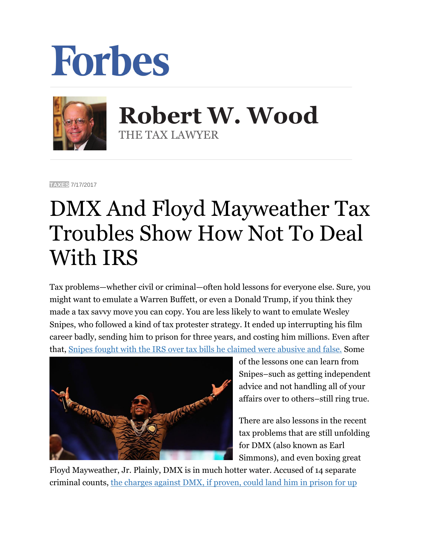



 **Robert W. Wood** THE TAX LAWYER

**[TAXES](https://www.forbes.com/taxes)** 7/17/2017

## DMX And Floyd Mayweather Tax Troubles Show How Not To Deal With IRS

Tax problems—whether civil or criminal—often hold lessons for everyone else. Sure, you might want to emulate a Warren Buffett, or even a Donald Trump, if you think they made a tax savvy move you can copy. You are less likely to want to emulate Wesley Snipes, who followed a kind of tax protester strategy. It ended up interrupting his film career badly, sending him to prison for three years, and costing him millions. Even after that, [Snipes fought with the IRS over tax bills he claimed were abusive and false.](https://www.google.com/url?sa=t&rct=j&q=&esrc=s&source=web&cd=2&cad=rja&uact=8&ved=0ahUKEwia5Mq7qI7VAhXGcz4KHf44CE8QFggoMAE&url=http%3A%2F%2Fwww.forbes.com%2Fsites%2Frobertwood%2F2015%2F11%2F30%2Fwesley-snipes-sues-irs-over-abusive-17-5m-tax-bill-false-promise-of-fresh-start%2F&usg=AFQjCNHFd385SCG5bbyESNV_1_6GncfSgA) Some



of the lessons one can learn from Snipes–such as getting independent advice and not handling all of your affairs over to others–still ring true.

There are also lessons in the recent tax problems that are still unfolding for DMX (also known as Earl Simmons), and even boxing great

Floyd Mayweather, Jr. Plainly, DMX is in much hotter water. Accused of 14 separate criminal counts, [the charges against DMX, if proven, could land him in prison for up](https://www.google.com/url?sa=t&rct=j&q=&esrc=s&source=web&cd=1&cad=rja&uact=8&ved=0ahUKEwjGuc_bqY7VAhVEyj4KHc-EDE8QFggiMAA&url=https%3A%2F%2Fwww.forbes.com%2Fsites%2Frobertwood%2F2017%2F07%2F14%2Frapper-dmx-is-charged-with-irs-tax-evasion-could-face-44-years%2F&usg=AFQjCNER6IEZNGzlE9DmSJNsWS3C_1ZJrA)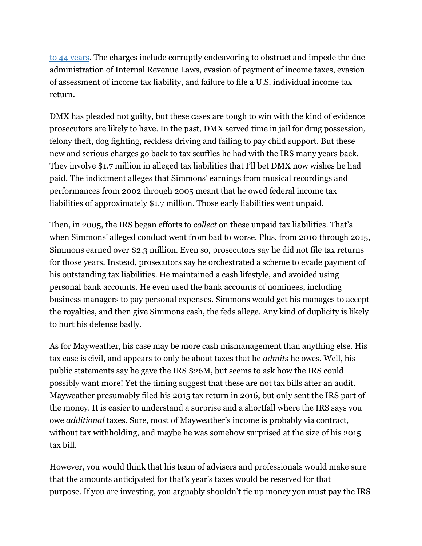to [44 years.](https://www.google.com/url?sa=t&rct=j&q=&esrc=s&source=web&cd=1&cad=rja&uact=8&ved=0ahUKEwjGuc_bqY7VAhVEyj4KHc-EDE8QFggiMAA&url=https%3A%2F%2Fwww.forbes.com%2Fsites%2Frobertwood%2F2017%2F07%2F14%2Frapper-dmx-is-charged-with-irs-tax-evasion-could-face-44-years%2F&usg=AFQjCNER6IEZNGzlE9DmSJNsWS3C_1ZJrA) The charges include corruptly endeavoring to obstruct and impede the due administration of Internal Revenue Laws, evasion of payment of income taxes, evasion of assessment of income tax liability, and failure to file a U.S. individual income tax return.

DMX has pleaded not guilty, but these cases are tough to win with the kind of evidence prosecutors are likely to have. In the past, DMX served time in jail for drug possession, felony theft, dog fighting, reckless driving and failing to pay child support. But these new and serious charges go back to tax scuffles he had with the IRS many years back. They involve \$1.7 million in alleged tax liabilities that I'll bet DMX now wishes he had paid. The indictment alleges that Simmons' earnings from musical recordings and performances from 2002 through 2005 meant that he owed federal income tax liabilities of approximately \$1.7 million. Those early liabilities went unpaid.

Then, in 2005, the IRS began efforts to *collect* on these unpaid tax liabilities. That's when Simmons' alleged conduct went from bad to worse. Plus, from 2010 through 2015, Simmons earned over \$2.3 million. Even so, prosecutors say he did not file tax returns for those years. Instead, prosecutors say he orchestrated a scheme to evade payment of his outstanding tax liabilities. He maintained a cash lifestyle, and avoided using personal bank accounts. He even used the bank accounts of nominees, including business managers to pay personal expenses. Simmons would get his manages to accept the royalties, and then give Simmons cash, the feds allege. Any kind of duplicity is likely to hurt his defense badly.

As for Mayweather, his case may be more cash mismanagement than anything else. His tax case is civil, and appears to only be about taxes that he *admits* he owes. Well, his public statements say he gave the IRS \$26M, but seems to ask how the IRS could possibly want more! Yet the timing suggest that these are not tax bills after an audit. Mayweather presumably filed his 2015 tax return in 2016, but only sent the IRS part of the money. It is easier to understand a surprise and a shortfall where the IRS says you owe *additional* taxes. Sure, most of Mayweather's income is probably via contract, without tax withholding, and maybe he was somehow surprised at the size of his 2015 tax bill.

However, you would think that his team of advisers and professionals would make sure that the amounts anticipated for that's year's taxes would be reserved for that purpose. If you are investing, you arguably shouldn't tie up money you must pay the IRS